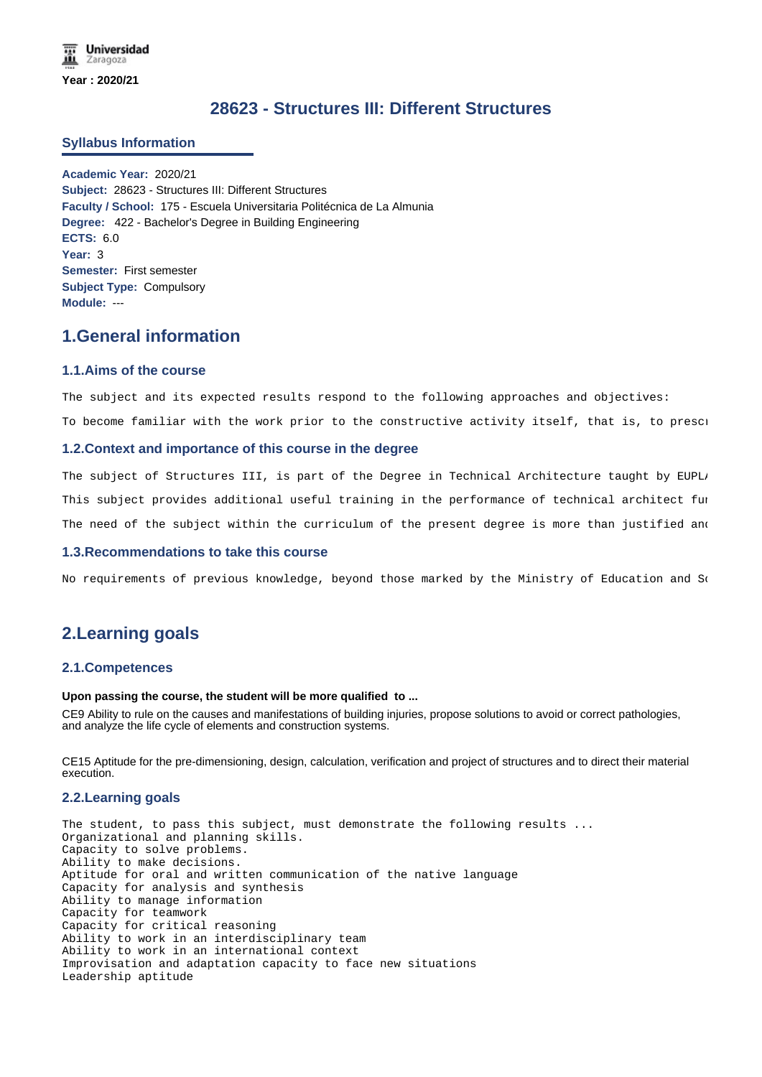# **28623 - Structures III: Different Structures**

## **Syllabus Information**

**Academic Year:** 2020/21 **Subject:** 28623 - Structures III: Different Structures **Faculty / School:** 175 - Escuela Universitaria Politécnica de La Almunia **Degree:** 422 - Bachelor's Degree in Building Engineering **ECTS:** 6.0 **Year:** 3 **Semester:** First semester **Subject Type:** Compulsory **Module:** ---

# **1.General information**

## **1.1.Aims of the course**

The subject and its expected results respond to the following approaches and objectives:

To become familiar with the work prior to the constructive activity itself, that is, to presci

#### **1.2.Context and importance of this course in the degree**

The subject of Structures III, is part of the Degree in Technical Architecture taught by EUPLI This subject provides additional useful training in the performance of technical architect fur The need of the subject within the curriculum of the present degree is more than justified and

#### **1.3.Recommendations to take this course**

No requirements of previous knowledge, beyond those marked by the Ministry of Education and So

# **2.Learning goals**

## **2.1.Competences**

## **Upon passing the course, the student will be more qualified to ...**

CE9 Ability to rule on the causes and manifestations of building injuries, propose solutions to avoid or correct pathologies, and analyze the life cycle of elements and construction systems.

CE15 Aptitude for the pre-dimensioning, design, calculation, verification and project of structures and to direct their material execution.

#### **2.2.Learning goals**

The student, to pass this subject, must demonstrate the following results ... Organizational and planning skills. Capacity to solve problems. Ability to make decisions. Aptitude for oral and written communication of the native language Capacity for analysis and synthesis Ability to manage information Capacity for teamwork Capacity for critical reasoning Ability to work in an interdisciplinary team Ability to work in an international context Improvisation and adaptation capacity to face new situations Leadership aptitude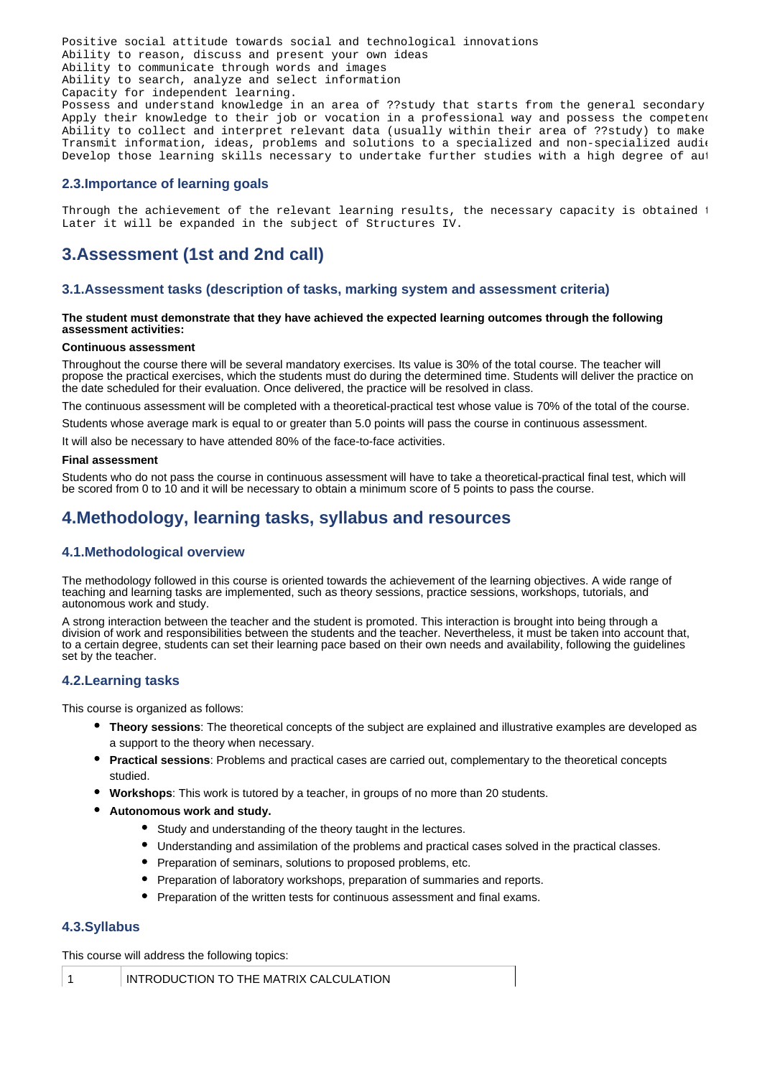Positive social attitude towards social and technological innovations Ability to reason, discuss and present your own ideas Ability to communicate through words and images Ability to search, analyze and select information Capacity for independent learning. Possess and understand knowledge in an area of ??study that starts from the general secondary Apply their knowledge to their job or vocation in a professional way and possess the competent Ability to collect and interpret relevant data (usually within their area of ??study) to make Transmit information, ideas, problems and solutions to a specialized and non-specialized audi $\epsilon$ Develop those learning skills necessary to undertake further studies with a high degree of aut

## **2.3.Importance of learning goals**

Through the achievement of the relevant learning results, the necessary capacity is obtained t Later it will be expanded in the subject of Structures IV.

# **3.Assessment (1st and 2nd call)**

## **3.1.Assessment tasks (description of tasks, marking system and assessment criteria)**

## **The student must demonstrate that they have achieved the expected learning outcomes through the following assessment activities:**

#### **Continuous assessment**

Throughout the course there will be several mandatory exercises. Its value is 30% of the total course. The teacher will propose the practical exercises, which the students must do during the determined time. Students will deliver the practice on the date scheduled for their evaluation. Once delivered, the practice will be resolved in class.

The continuous assessment will be completed with a theoretical-practical test whose value is 70% of the total of the course.

Students whose average mark is equal to or greater than 5.0 points will pass the course in continuous assessment.

It will also be necessary to have attended 80% of the face-to-face activities.

#### **Final assessment**

Students who do not pass the course in continuous assessment will have to take a theoretical-practical final test, which will be scored from 0 to 10 and it will be necessary to obtain a minimum score of 5 points to pass the course.

## **4.Methodology, learning tasks, syllabus and resources**

## **4.1.Methodological overview**

The methodology followed in this course is oriented towards the achievement of the learning objectives. A wide range of teaching and learning tasks are implemented, such as theory sessions, practice sessions, workshops, tutorials, and autonomous work and study.

A strong interaction between the teacher and the student is promoted. This interaction is brought into being through a division of work and responsibilities between the students and the teacher. Nevertheless, it must be taken into account that, to a certain degree, students can set their learning pace based on their own needs and availability, following the guidelines set by the teacher.

#### **4.2.Learning tasks**

This course is organized as follows:

- **Theory sessions**: The theoretical concepts of the subject are explained and illustrative examples are developed as a support to the theory when necessary.
- **Practical sessions**: Problems and practical cases are carried out, complementary to the theoretical concepts studied.
- **Workshops**: This work is tutored by a teacher, in groups of no more than 20 students.
- **Autonomous work and study.**
	- Study and understanding of the theory taught in the lectures.
	- Understanding and assimilation of the problems and practical cases solved in the practical classes.
	- Preparation of seminars, solutions to proposed problems, etc.
	- Preparation of laboratory workshops, preparation of summaries and reports.
	- Preparation of the written tests for continuous assessment and final exams.

## **4.3.Syllabus**

This course will address the following topics:

1 INTRODUCTION TO THE MATRIX CALCULATION